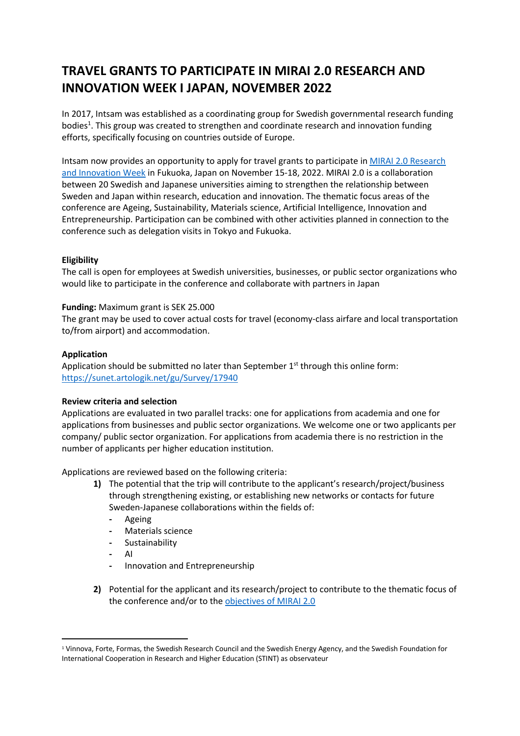# **TRAVEL GRANTS TO PARTICIPATE IN MIRAI 2.0 RESEARCH AND INNOVATION WEEK I JAPAN, NOVEMBER 2022**

In 2017, Intsam was established as a coordinating group for Swedish governmental research funding bodies<sup>1</sup>. This group was created to strengthen and coordinate research and innovation funding efforts, specifically focusing on countries outside of Europe.

Intsam now provides an opportunity to apply for travel grants to participate in [MIRAI 2.0 Research](https://www.mirai.nu/riweek2022/)  [and Innovation Week](https://www.mirai.nu/riweek2022/) in Fukuoka, Japan on November 15-18, 2022. MIRAI 2.0 is a collaboration between 20 Swedish and Japanese universities aiming to strengthen the relationship between Sweden and Japan within research, education and innovation. The thematic focus areas of the conference are Ageing, Sustainability, Materials science, Artificial Intelligence, Innovation and Entrepreneurship. Participation can be combined with other activities planned in connection to the conference such as delegation visits in Tokyo and Fukuoka.

# **Eligibility**

The call is open for employees at Swedish universities, businesses, or public sector organizations who would like to participate in the conference and collaborate with partners in Japan

#### **Funding:** Maximum grant is SEK 25.000

The grant may be used to cover actual costs for travel (economy-class airfare and local transportation to/from airport) and accommodation.

## **Application**

Application should be submitted no later than September  $1<sup>st</sup>$  through this online form: <https://sunet.artologik.net/gu/Survey/17940>

#### **Review criteria and selection**

Applications are evaluated in two parallel tracks: one for applications from academia and one for applications from businesses and public sector organizations. We welcome one or two applicants per company/ public sector organization. For applications from academia there is no restriction in the number of applicants per higher education institution.

Applications are reviewed based on the following criteria:

- **1)** The potential that the trip will contribute to the applicant's research/project/business through strengthening existing, or establishing new networks or contacts for future Sweden-Japanese collaborations within the fields of:
	- **-** Ageing
	- **-** Materials science
	- **-** Sustainability
	- **-** AI
	- **-** Innovation and Entrepreneurship
- **2)** Potential for the applicant and its research/project to contribute to the thematic focus of the conference and/or to the [objectives of MIRAI 2.0](https://www.mirai.nu/#our-mission)

<sup>1</sup> Vinnova, Forte, Formas, the Swedish Research Council and the Swedish Energy Agency, and the Swedish Foundation for International Cooperation in Research and Higher Education (STINT) as observateur